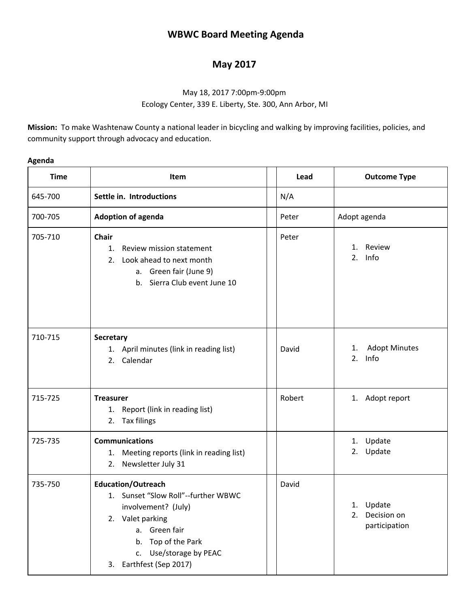## **WBWC Board Meeting Agenda**

## **May 2017**

## May 18, 2017 7:00pm-9:00pm Ecology Center, 339 E. Liberty, Ste. 300, Ann Arbor, MI

**Mission:** To make Washtenaw County a national leader in bicycling and walking by improving facilities, policies, and community support through advocacy and education.

| Δ<br>\gena |  |
|------------|--|
|------------|--|

| <b>Time</b> | Item                                                                                                                                                                                                       | Lead   | <b>Outcome Type</b>                             |  |
|-------------|------------------------------------------------------------------------------------------------------------------------------------------------------------------------------------------------------------|--------|-------------------------------------------------|--|
| 645-700     | Settle in. Introductions                                                                                                                                                                                   | N/A    |                                                 |  |
| 700-705     | <b>Adoption of agenda</b>                                                                                                                                                                                  | Peter  | Adopt agenda                                    |  |
| 705-710     | <b>Chair</b><br>Review mission statement<br>1.<br>Look ahead to next month<br>2.<br>a. Green fair (June 9)<br>b. Sierra Club event June 10                                                                 | Peter  | 1. Review<br>Info<br>2.                         |  |
| 710-715     | <b>Secretary</b><br>1. April minutes (link in reading list)<br>2. Calendar                                                                                                                                 | David  | <b>Adopt Minutes</b><br>1.<br>2.<br>Info        |  |
| 715-725     | <b>Treasurer</b><br>1. Report (link in reading list)<br>2. Tax filings                                                                                                                                     | Robert | 1. Adopt report                                 |  |
| 725-735     | <b>Communications</b><br>1. Meeting reports (link in reading list)<br>2. Newsletter July 31                                                                                                                |        | 1. Update<br>2. Update                          |  |
| 735-750     | <b>Education/Outreach</b><br>1. Sunset "Slow Roll"--further WBWC<br>involvement? (July)<br>2. Valet parking<br>a. Green fair<br>b. Top of the Park<br>Use/storage by PEAC<br>C.<br>3. Earthfest (Sep 2017) | David  | 1. Update<br>2.<br>Decision on<br>participation |  |